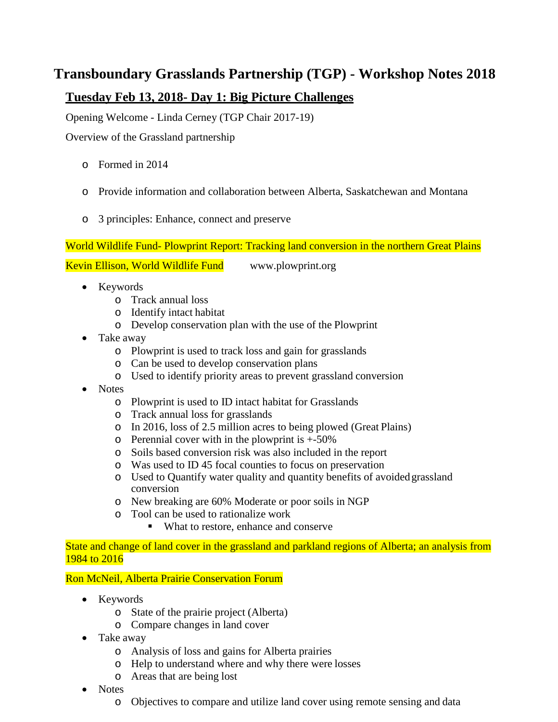# **Transboundary Grasslands Partnership (TGP) - Workshop Notes 2018**

## **Tuesday Feb 13, 2018- Day 1: Big Picture Challenges**

Opening Welcome - Linda Cerney (TGP Chair 2017-19)

Overview of the Grassland partnership

- o Formed in 2014
- o Provide information and collaboration between Alberta, Saskatchewan and Montana
- o 3 principles: Enhance, connect and preserve

World Wildlife Fund- Plowprint Report: Tracking land conversion in the northern Great Plains

Kevin Ellison, World Wildlife Fund [www.plowprint.org](http://www.plowprint.org/)

- Keywords
	- o Track annual loss
	- o Identify intact habitat
	- o Develop conservation plan with the use of the Plowprint
- Take away
	- o Plowprint is used to track loss and gain for grasslands
	- o Can be used to develop conservation plans
	- o Used to identify priority areas to prevent grassland conversion
- Notes
	- o Plowprint is used to ID intact habitat for Grasslands
	- o Track annual loss for grasslands
	- o In 2016, loss of 2.5 million acres to being plowed (Great Plains)
	- $\circ$  Perennial cover with in the plowprint is  $+50\%$
	- o Soils based conversion risk was also included in the report
	- o Was used to ID 45 focal counties to focus on preservation
	- o Used to Quantify water quality and quantity benefits of avoidedgrassland conversion
	- o New breaking are 60% Moderate or poor soils in NGP
	- o Tool can be used to rationalize work
		- What to restore, enhance and conserve

State and change of land cover in the grassland and parkland regions of Alberta; an analysis from 1984 to 2016

Ron McNeil, Alberta Prairie Conservation Forum

- Keywords
	- o State of the prairie project (Alberta)
	- o Compare changes in land cover
- Take away
	- o Analysis of loss and gains for Alberta prairies
	- o Help to understand where and why there were losses
	- o Areas that are being lost
- Notes
	- o Objectives to compare and utilize land cover using remote sensing and data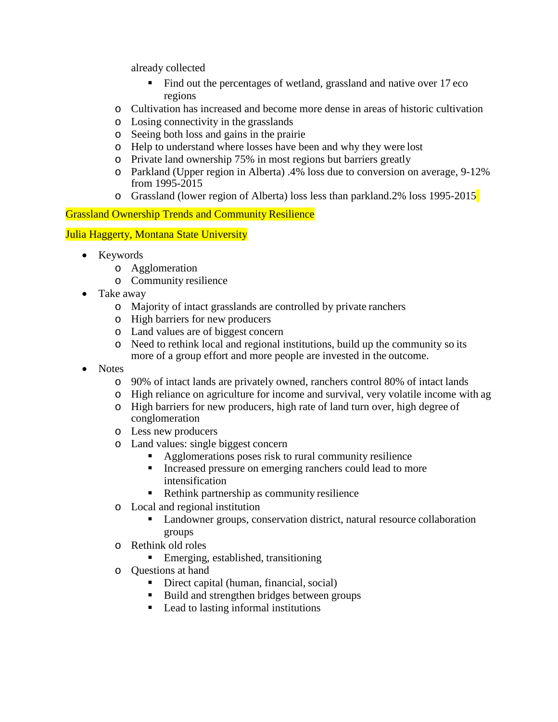already collected

- Find out the percentages of wetland, grassland and native over 17 eco regions
- o Cultivation has increased and become more dense in areas of historic cultivation
- o Losing connectivity in the grasslands
- o Seeing both loss and gains in the prairie
- o Help to understand where losses have been and why they were lost
- o Private land ownership 75% in most regions but barriers greatly
- o Parkland (Upper region in Alberta) .4% loss due to conversion on average, 9-12% from 1995-2015
- o Grassland (lower region of Alberta) loss less than parkland.2% loss 1995-2015

### Grassland Ownership Trends and Community Resilience

#### Julia Haggerty, Montana State University

- Keywords
	- o Agglomeration
	- o Community resilience
- Take away
	- o Majority of intact grasslands are controlled by private ranchers
	- o High barriers for new producers
	- o Land values are of biggest concern
	- o Need to rethink local and regional institutions, build up the community so its more of a group effort and more people are invested in the outcome.
- Notes
	- o 90% of intact lands are privately owned, ranchers control 80% of intact lands
	- o High reliance on agriculture for income and survival, very volatile income with ag
	- o High barriers for new producers, high rate of land turn over, high degree of conglomeration
	- o Less new producers
	- o Land values: single biggest concern
		- Agglomerations poses risk to rural community resilience
		- Increased pressure on emerging ranchers could lead to more intensification
		- Rethink partnership as community resilience
	- o Local and regional institution
		- Landowner groups, conservation district, natural resource collaboration groups
	- o Rethink old roles
		- **Emerging, established, transitioning**
	- o Questions at hand
		- Direct capital (human, financial, social)
		- Build and strengthen bridges between groups
		- Lead to lasting informal institutions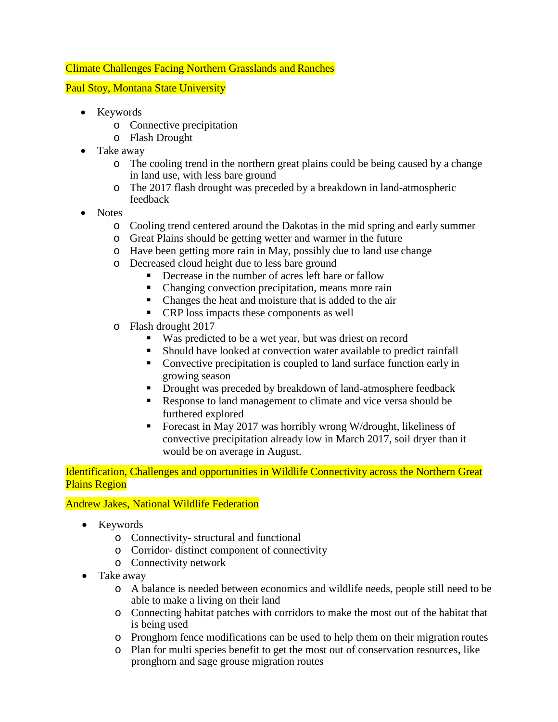#### Climate Challenges Facing Northern Grasslands and Ranches

#### Paul Stoy, Montana State University

- Keywords
	- o Connective precipitation
	- o Flash Drought
- Take away
	- o The cooling trend in the northern great plains could be being caused by a change in land use, with less bare ground
	- o The 2017 flash drought was preceded by a breakdown in land-atmospheric feedback
- Notes
	- o Cooling trend centered around the Dakotas in the mid spring and early summer
	- o Great Plains should be getting wetter and warmer in the future
	- o Have been getting more rain in May, possibly due to land use change
	- o Decreased cloud height due to less bare ground
		- Decrease in the number of acres left bare or fallow
		- Changing convection precipitation, means more rain
		- Changes the heat and moisture that is added to the air
		- CRP loss impacts these components as well
	- o Flash drought 2017
		- Was predicted to be a wet year, but was driest on record
		- Should have looked at convection water available to predict rainfall
		- Convective precipitation is coupled to land surface function early in growing season
		- **Drought was preceded by breakdown of land-atmosphere feedback**
		- Response to land management to climate and vice versa should be furthered explored
		- Forecast in May 2017 was horribly wrong W/drought, likeliness of convective precipitation already low in March 2017, soil dryer than it would be on average in August.

Identification, Challenges and opportunities in Wildlife Connectivity across the Northern Great Plains Region

#### Andrew Jakes, National Wildlife Federation

- Keywords
	- o Connectivity- structural and functional
	- o Corridor- distinct component of connectivity
	- o Connectivity network
- Take away
	- o A balance is needed between economics and wildlife needs, people still need to be able to make a living on their land
	- o Connecting habitat patches with corridors to make the most out of the habitat that is being used
	- o Pronghorn fence modifications can be used to help them on their migration routes
	- o Plan for multi species benefit to get the most out of conservation resources, like pronghorn and sage grouse migration routes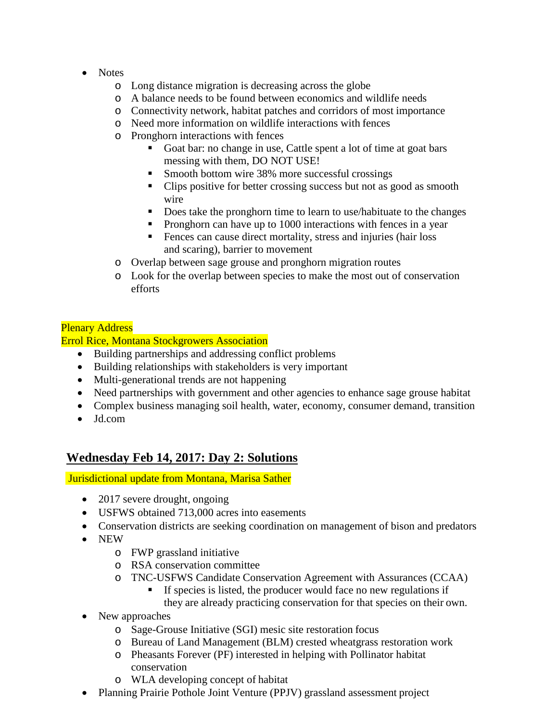- Notes
	- o Long distance migration is decreasing across the globe
	- o A balance needs to be found between economics and wildlife needs
	- o Connectivity network, habitat patches and corridors of most importance
	- o Need more information on wildlife interactions with fences
	- o Pronghorn interactions with fences
		- Goat bar: no change in use, Cattle spent a lot of time at goat bars messing with them, DO NOT USE!
		- Smooth bottom wire 38% more successful crossings
		- Clips positive for better crossing success but not as good as smooth wire
		- Does take the pronghorn time to learn to use/habituate to the changes
		- Pronghorn can have up to 1000 interactions with fences in a year
		- **Fences can cause direct mortality, stress and injuries (hair loss** and scaring), barrier to movement
	- o Overlap between sage grouse and pronghorn migration routes
	- o Look for the overlap between species to make the most out of conservation efforts

#### Plenary Address

Errol Rice, Montana Stockgrowers Association

- Building partnerships and addressing conflict problems
- Building relationships with stakeholders is very important
- Multi-generational trends are not happening
- Need partnerships with government and other agencies to enhance sage grouse habitat
- Complex business managing soil health, water, economy, consumer demand, transition • Jd.com

## **Wednesday Feb 14, 2017: Day 2: Solutions**

Jurisdictional update from Montana, Marisa Sather

- 2017 severe drought, ongoing
- USFWS obtained 713,000 acres into easements
- Conservation districts are seeking coordination on management of bison and predators
- NEW
	- o FWP grassland initiative
	- o RSA conservation committee
	- o TNC-USFWS Candidate Conservation Agreement with Assurances (CCAA)
		- If species is listed, the producer would face no new regulations if they are already practicing conservation for that species on their own.
- New approaches
	- o Sage-Grouse Initiative (SGI) mesic site restoration focus
	- o Bureau of Land Management (BLM) crested wheatgrass restoration work
	- o Pheasants Forever (PF) interested in helping with Pollinator habitat conservation
	- o WLA developing concept of habitat
- Planning Prairie Pothole Joint Venture (PPJV) grassland assessment project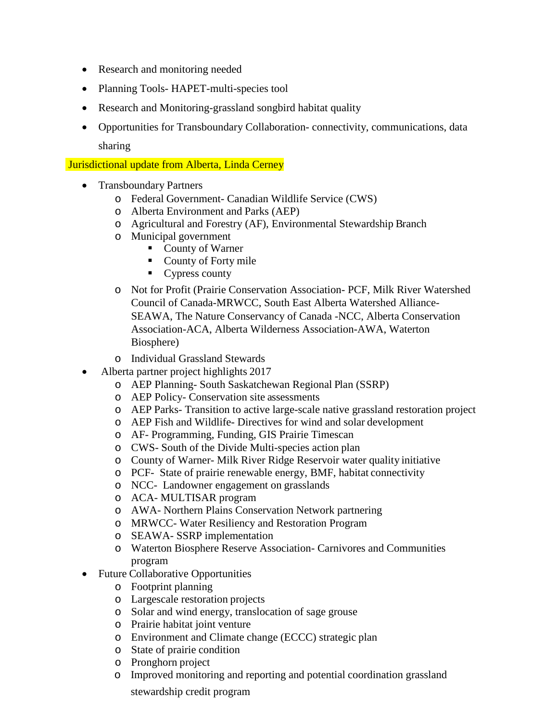- Research and monitoring needed
- Planning Tools- HAPET-multi-species tool
- Research and Monitoring-grassland songbird habitat quality
- Opportunities for Transboundary Collaboration- connectivity, communications, data sharing

Jurisdictional update from Alberta, Linda Cerney

- Transboundary Partners
	- o Federal Government- Canadian Wildlife Service (CWS)
	- o Alberta Environment and Parks (AEP)
	- o Agricultural and Forestry (AF), Environmental Stewardship Branch
	- o Municipal government
		- County of Warner
		- County of Forty mile
		- Cypress county
	- o Not for Profit (Prairie Conservation Association- PCF, Milk River Watershed Council of Canada-MRWCC, South East Alberta Watershed Alliance-SEAWA, The Nature Conservancy of Canada -NCC, Alberta Conservation Association-ACA, Alberta Wilderness Association-AWA, Waterton Biosphere)
	- o Individual Grassland Stewards
- Alberta partner project highlights 2017
	- o AEP Planning- South Saskatchewan Regional Plan (SSRP)
	- o AEP Policy- Conservation site assessments
	- o AEP Parks- Transition to active large-scale native grassland restoration project
	- o AEP Fish and Wildlife- Directives for wind and solar development
	- o AF- Programming, Funding, GIS Prairie Timescan
	- o CWS- South of the Divide Multi-species action plan
	- o County of Warner- Milk River Ridge Reservoir water quality initiative
	- o PCF- State of prairie renewable energy, BMF, habitat connectivity
	- o NCC- Landowner engagement on grasslands
	- o ACA- MULTISAR program
	- o AWA- Northern Plains Conservation Network partnering
	- o MRWCC- Water Resiliency and Restoration Program
	- o SEAWA- SSRP implementation
	- o Waterton Biosphere Reserve Association- Carnivores and Communities program
- Future Collaborative Opportunities
	- o Footprint planning
	- o Largescale restoration projects
	- o Solar and wind energy, translocation of sage grouse
	- o Prairie habitat joint venture
	- o Environment and Climate change (ECCC) strategic plan
	- o State of prairie condition
	- o Pronghorn project
	- o Improved monitoring and reporting and potential coordination grassland

stewardship credit program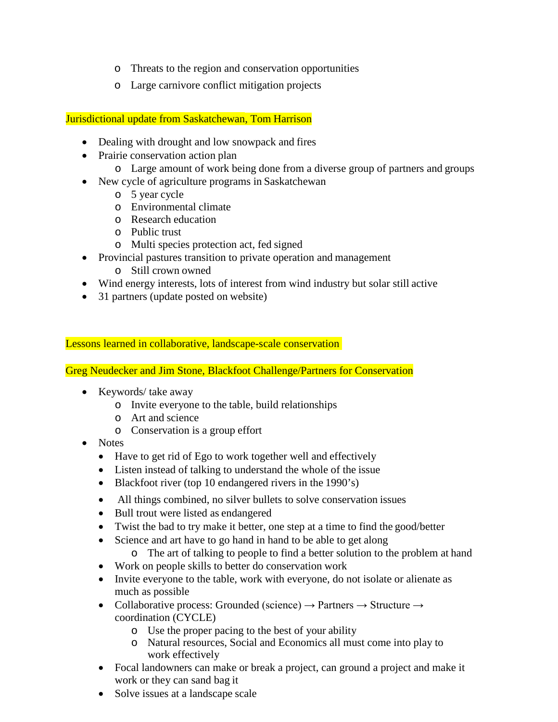- o Threats to the region and conservation opportunities
- o Large carnivore conflict mitigation projects

Jurisdictional update from Saskatchewan, Tom Harrison

- Dealing with drought and low snowpack and fires
- Prairie conservation action plan
	- o Large amount of work being done from a diverse group of partners and groups
- New cycle of agriculture programs in Saskatchewan
	- o 5 year cycle
	- o Environmental climate
	- o Research education
	- o Public trust
	- o Multi species protection act, fed signed
- Provincial pastures transition to private operation and management
	- o Still crown owned
- Wind energy interests, lots of interest from wind industry but solar still active
- 31 partners (update posted on website)

Lessons learned in collaborative, landscape-scale conservation

Greg Neudecker and Jim Stone, Blackfoot Challenge/Partners for Conservation

- Keywords/ take away
	- o Invite everyone to the table, build relationships
	- o Art and science
	- o Conservation is a group effort
- Notes
	- Have to get rid of Ego to work together well and effectively
	- Listen instead of talking to understand the whole of the issue
	- Blackfoot river (top 10 endangered rivers in the 1990's)
	- All things combined, no silver bullets to solve conservation issues
	- Bull trout were listed as endangered
	- Twist the bad to try make it better, one step at a time to find the good/better
	- Science and art have to go hand in hand to be able to get along
		- o The art of talking to people to find a better solution to the problem at hand
	- Work on people skills to better do conservation work
	- Invite everyone to the table, work with everyone, do not isolate or alienate as much as possible
	- Collaborative process: Grounded (science)  $\rightarrow$  Partners  $\rightarrow$  Structure  $\rightarrow$ coordination (CYCLE)
		- o Use the proper pacing to the best of your ability
		- o Natural resources, Social and Economics all must come into play to work effectively
	- Focal landowners can make or break a project, can ground a project and make it work or they can sand bag it
	- Solve issues at a landscape scale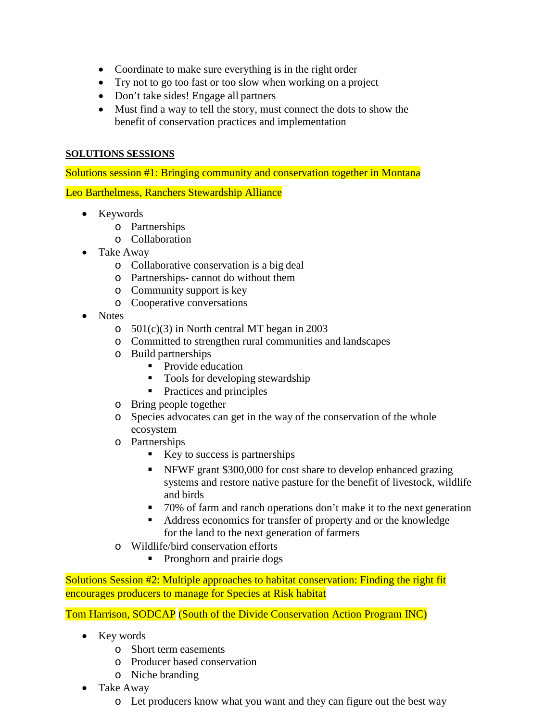- Coordinate to make sure everything is in the right order
- Try not to go too fast or too slow when working on a project
- Don't take sides! Engage all partners
- Must find a way to tell the story, must connect the dots to show the benefit of conservation practices and implementation

#### **SOLUTIONS SESSIONS**

Solutions session #1: Bringing community and conservation together in Montana

Leo Barthelmess, Ranchers Stewardship Alliance

- Keywords
	- o Partnerships
	- o Collaboration
- Take Away
	- o Collaborative conservation is a big deal
	- o Partnerships- cannot do without them
	- o Community support is key
	- o Cooperative conversations
- Notes
	- o 501(c)(3) in North central MT began in 2003
	- o Committed to strengthen rural communities and landscapes
	- o Build partnerships
		- Provide education
		- Tools for developing stewardship
		- **Practices and principles**
	- o Bring people together
	- o Species advocates can get in the way of the conservation of the whole ecosystem
	- o Partnerships
		- $\blacksquare$  Key to success is partnerships
		- NFWF grant \$300,000 for cost share to develop enhanced grazing systems and restore native pasture for the benefit of livestock, wildlife and birds
		- 70% of farm and ranch operations don't make it to the next generation
		- Address economics for transfer of property and or the knowledge for the land to the next generation of farmers
	- o Wildlife/bird conservation efforts
		- Pronghorn and prairie dogs

Solutions Session #2: Multiple approaches to habitat conservation: Finding the right fit encourages producers to manage for Species at Risk habitat

Tom Harrison, SODCAP (South of the Divide Conservation Action Program INC)

- Key words
	- o Short term easements
	- o Producer based conservation
	- o Niche branding
- Take Away
	- o Let producers know what you want and they can figure out the best way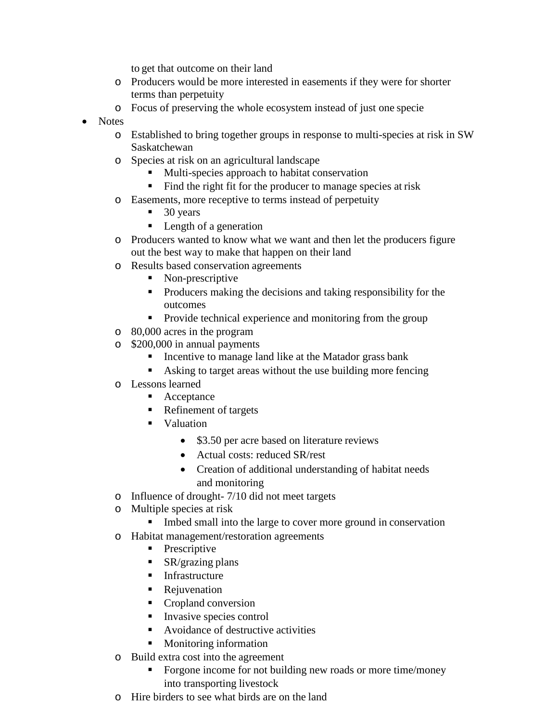to get that outcome on their land

- o Producers would be more interested in easements if they were for shorter terms than perpetuity
- o Focus of preserving the whole ecosystem instead of just one specie
- Notes
	- o Established to bring together groups in response to multi-species at risk in SW Saskatchewan
	- o Species at risk on an agricultural landscape
		- **Multi-species approach to habitat conservation**
		- Find the right fit for the producer to manage species at risk
	- o Easements, more receptive to terms instead of perpetuity
		- $\blacksquare$  30 years
		- Length of a generation
	- o Producers wanted to know what we want and then let the producers figure out the best way to make that happen on their land
	- o Results based conservation agreements
		- Non-prescriptive
		- Producers making the decisions and taking responsibility for the outcomes
		- **Provide technical experience and monitoring from the group**
	- o 80,000 acres in the program
	- o \$200,000 in annual payments
		- **I.** Incentive to manage land like at the Matador grass bank
		- Asking to target areas without the use building more fencing
	- o Lessons learned
		- Acceptance
		- Refinement of targets
		- **valuation** 
			- \$3.50 per acre based on literature reviews
			- Actual costs: reduced SR/rest
			- Creation of additional understanding of habitat needs and monitoring
	- o Influence of drought- 7/10 did not meet targets
	- o Multiple species at risk
		- Imbed small into the large to cover more ground in conservation
	- o Habitat management/restoration agreements
		- Prescriptive
		- $\blacksquare$  SR/grazing plans
		- **Infrastructure**
		- Rejuvenation
		- Cropland conversion
		- **Invasive species control**
		- Avoidance of destructive activities
		- **Monitoring information**
	- o Build extra cost into the agreement
		- Forgone income for not building new roads or more time/money into transporting livestock
	- o Hire birders to see what birds are on the land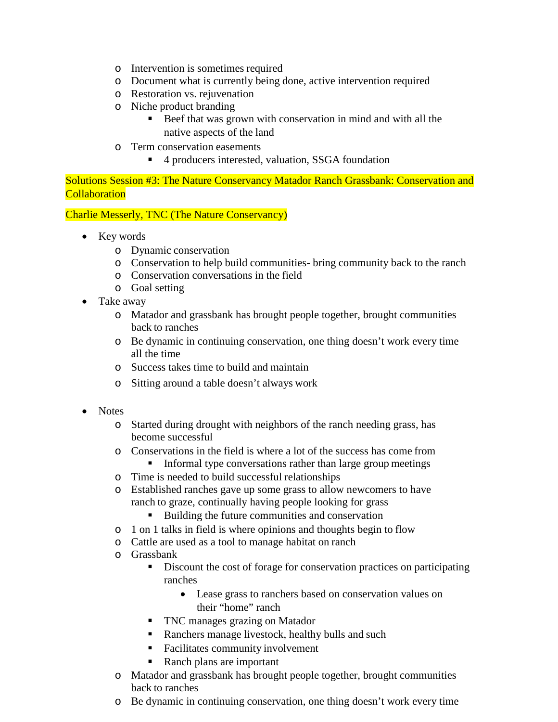- o Intervention is sometimes required
- o Document what is currently being done, active intervention required
- o Restoration vs. rejuvenation
- o Niche product branding
	- Beef that was grown with conservation in mind and with all the native aspects of the land
- o Term conservation easements<br>■ 4 producers interested
	- 4 producers interested, valuation, SSGA foundation

Solutions Session #3: The Nature Conservancy Matador Ranch Grassbank: Conservation and **Collaboration** 

Charlie Messerly, TNC (The Nature Conservancy)

- Key words
	- o Dynamic conservation
	- o Conservation to help build communities- bring community back to the ranch
	- o Conservation conversations in the field
	- o Goal setting
- Take away
	- o Matador and grassbank has brought people together, brought communities back to ranches
	- o Be dynamic in continuing conservation, one thing doesn't work every time all the time
	- o Success takes time to build and maintain
	- o Sitting around a table doesn't always work
- Notes
	- o Started during drought with neighbors of the ranch needing grass, has become successful
	- o Conservations in the field is where a lot of the success has come from **Informal type conversations rather than large group meetings**
	- o Time is needed to build successful relationships
	- o Established ranches gave up some grass to allow newcomers to have ranch to graze, continually having people looking for grass
		- Building the future communities and conservation
	- o 1 on 1 talks in field is where opinions and thoughts begin to flow
	- o Cattle are used as a tool to manage habitat on ranch
	- o Grassbank
		- Discount the cost of forage for conservation practices on participating ranches
			- Lease grass to ranchers based on conservation values on their "home" ranch
		- TNC manages grazing on Matador
		- Ranchers manage livestock, healthy bulls and such
		- Facilitates community involvement
		- Ranch plans are important
	- o Matador and grassbank has brought people together, brought communities back to ranches
	- o Be dynamic in continuing conservation, one thing doesn't work every time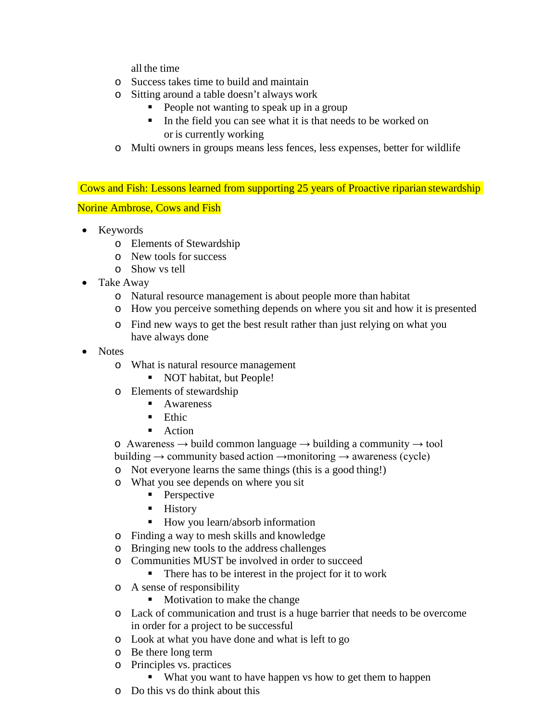all the time

- o Success takes time to build and maintain
- o Sitting around a table doesn't always work
	- People not wanting to speak up in a group
	- In the field you can see what it is that needs to be worked on or is currently working
- o Multi owners in groups means less fences, less expenses, better for wildlife

Cows and Fish: Lessons learned from supporting 25 years of Proactive riparian stewardship

Norine Ambrose, Cows and Fish

- Keywords
	- o Elements of Stewardship
	- o New tools for success
	- o Show vs tell
- Take Away
	- o Natural resource management is about people more than habitat
	- o How you perceive something depends on where you sit and how it is presented
	- o Find new ways to get the best result rather than just relying on what you have always done
- Notes
	- o What is natural resource management
		- NOT habitat, but People!
	- o Elements of stewardship
		- **Awareness**
		- **Ethic**
		- **Action**

 $\circ$  Awareness  $\rightarrow$  build common language  $\rightarrow$  building a community  $\rightarrow$  tool building  $\rightarrow$  community based action  $\rightarrow$ monitoring  $\rightarrow$  awareness (cycle)

- o Not everyone learns the same things (this is a good thing!)
- o What you see depends on where you sit
	- Perspective
	- **History**
	- How you learn/absorb information
- o Finding a way to mesh skills and knowledge
- o Bringing new tools to the address challenges
- o Communities MUST be involved in order to succeed
	- There has to be interest in the project for it to work
- o A sense of responsibility
	- Motivation to make the change
- o Lack of communication and trust is a huge barrier that needs to be overcome in order for a project to be successful
- o Look at what you have done and what is left to go
- o Be there long term
- o Principles vs. practices
	- What you want to have happen vs how to get them to happen
- o Do this vs do think about this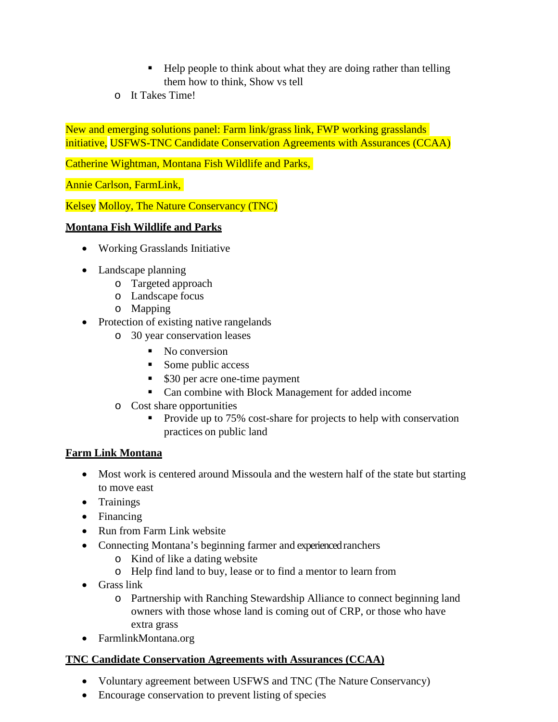- Help people to think about what they are doing rather than telling them how to think, Show vs tell
- o It Takes Time!

New and emerging solutions panel: Farm link/grass link, FWP working grasslands initiative, USFWS-TNC Candidate Conservation Agreements with Assurances (CCAA)

Catherine Wightman, Montana Fish Wildlife and Parks,

Annie Carlson, FarmLink,

Kelsey Molloy, The Nature Conservancy (TNC)

#### **Montana Fish Wildlife and Parks**

- Working Grasslands Initiative
- Landscape planning
	- o Targeted approach
	- o Landscape focus
	- o Mapping
- Protection of existing native rangelands
	- o 30 year conservation leases
		- No conversion
		- Some public access
		- \$30 per acre one-time payment
		- Can combine with Block Management for added income
	- o Cost share opportunities
		- Provide up to  $75\%$  cost-share for projects to help with conservation practices on public land

#### **Farm Link Montana**

- Most work is centered around Missoula and the western half of the state but starting to move east
- Trainings
- Financing
- Run from Farm Link website
- Connecting Montana's beginning farmer and experienced ranchers
	- o Kind of like a dating website
	- o Help find land to buy, lease or to find a mentor to learn from
- Grass link
	- o Partnership with Ranching Stewardship Alliance to connect beginning land owners with those whose land is coming out of CRP, or those who have extra grass
- FarmlinkMontana.org

## **TNC Candidate Conservation Agreements with Assurances (CCAA)**

- Voluntary agreement between USFWS and TNC (The Nature Conservancy)
- Encourage conservation to prevent listing of species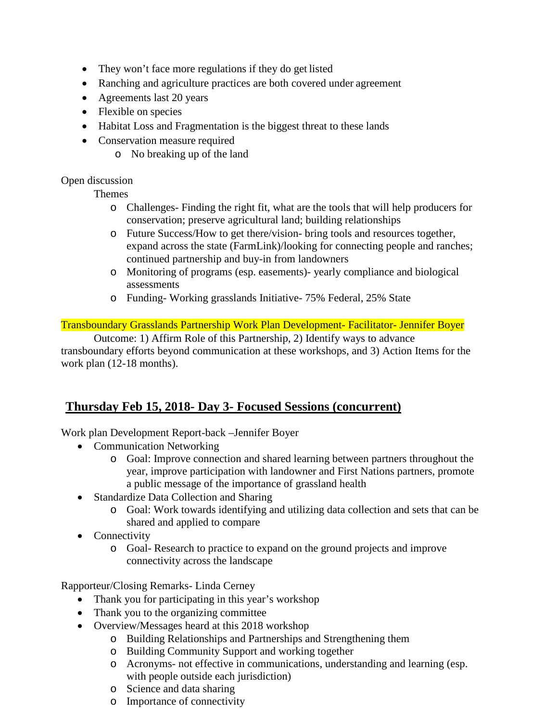- They won't face more regulations if they do get listed
- Ranching and agriculture practices are both covered under agreement
- Agreements last 20 years
- Flexible on species
- Habitat Loss and Fragmentation is the biggest threat to these lands
- Conservation measure required
	- o No breaking up of the land

#### Open discussion

Themes

- o Challenges- Finding the right fit, what are the tools that will help producers for conservation; preserve agricultural land; building relationships
- o Future Success/How to get there/vision- bring tools and resources together, expand across the state (FarmLink)/looking for connecting people and ranches; continued partnership and buy-in from landowners
- o Monitoring of programs (esp. easements)- yearly compliance and biological assessments
- o Funding- Working grasslands Initiative- 75% Federal, 25% State

#### Transboundary Grasslands Partnership Work Plan Development- Facilitator- Jennifer Boyer

Outcome: 1) Affirm Role of this Partnership, 2) Identify ways to advance transboundary efforts beyond communication at these workshops, and 3) Action Items for the work plan (12-18 months).

## **Thursday Feb 15, 2018- Day 3- Focused Sessions (concurrent)**

Work plan Development Report-back –Jennifer Boyer

- Communication Networking
	- o Goal: Improve connection and shared learning between partners throughout the year, improve participation with landowner and First Nations partners, promote a public message of the importance of grassland health
- Standardize Data Collection and Sharing
	- o Goal: Work towards identifying and utilizing data collection and sets that can be shared and applied to compare
- Connectivity
	- o Goal- Research to practice to expand on the ground projects and improve connectivity across the landscape

Rapporteur/Closing Remarks- Linda Cerney

- Thank you for participating in this year's workshop
- Thank you to the organizing committee
- Overview/Messages heard at this 2018 workshop
	- o Building Relationships and Partnerships and Strengthening them
	- o Building Community Support and working together
	- o Acronyms- not effective in communications, understanding and learning (esp. with people outside each jurisdiction)
	- o Science and data sharing
	- o Importance of connectivity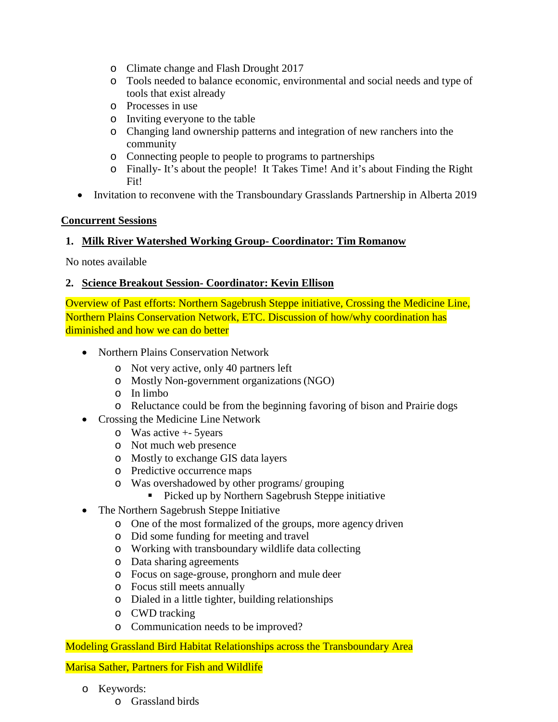- o Climate change and Flash Drought 2017
- o Tools needed to balance economic, environmental and social needs and type of tools that exist already
- o Processes in use
- o Inviting everyone to the table
- o Changing land ownership patterns and integration of new ranchers into the community
- o Connecting people to people to programs to partnerships
- o Finally- It's about the people! It Takes Time! And it's about Finding the Right Fit!
- Invitation to reconvene with the Transboundary Grasslands Partnership in Alberta 2019

#### **Concurrent Sessions**

#### **1. Milk River Watershed Working Group- Coordinator: Tim Romanow**

No notes available

#### **2. Science Breakout Session- Coordinator: Kevin Ellison**

Overview of Past efforts: Northern Sagebrush Steppe initiative, Crossing the Medicine Line, Northern Plains Conservation Network, ETC. Discussion of how/why coordination has diminished and how we can do better

- Northern Plains Conservation Network
	- o Not very active, only 40 partners left
	- o Mostly Non-government organizations (NGO)
	- o In limbo
	- o Reluctance could be from the beginning favoring of bison and Prairie dogs
- Crossing the Medicine Line Network
	- o Was active +- 5years
	- o Not much web presence
	- o Mostly to exchange GIS data layers
	- o Predictive occurrence maps
	- o Was overshadowed by other programs/ grouping
		- **Picked up by Northern Sagebrush Steppe initiative**
- The Northern Sagebrush Steppe Initiative
	- o One of the most formalized of the groups, more agency driven
	- o Did some funding for meeting and travel
	- o Working with transboundary wildlife data collecting
	- o Data sharing agreements
	- o Focus on sage-grouse, pronghorn and mule deer
	- o Focus still meets annually
	- o Dialed in a little tighter, building relationships
	- o CWD tracking
	- o Communication needs to be improved?

Modeling Grassland Bird Habitat Relationships across the Transboundary Area

Marisa Sather, Partners for Fish and Wildlife

- o Keywords:
	- o Grassland birds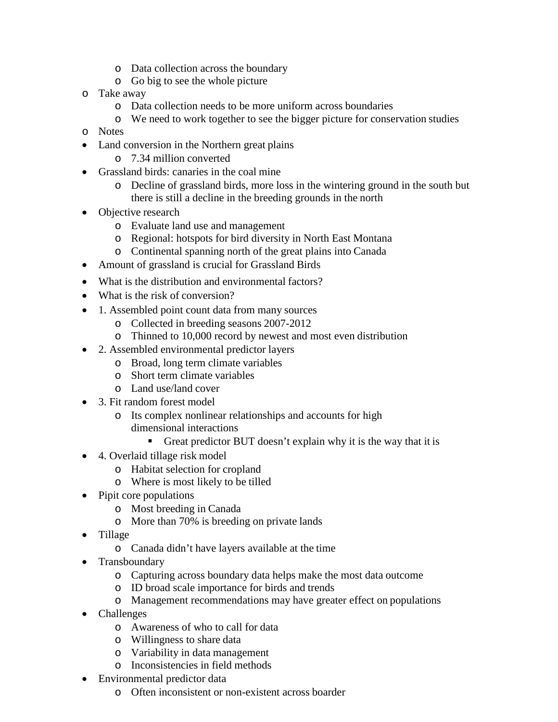- o Data collection across the boundary
- o Go big to see the whole picture
- o Take away
	- o Data collection needs to be more uniform across boundaries
	- o We need to work together to see the bigger picture for conservation studies
- o Notes
- Land conversion in the Northern great plains
	- o 7.34 million converted
- Grassland birds: canaries in the coal mine
	- o Decline of grassland birds, more loss in the wintering ground in the south but there is still a decline in the breeding grounds in the north
- Objective research
	- o Evaluate land use and management
	- o Regional: hotspots for bird diversity in North East Montana
	- o Continental spanning north of the great plains into Canada
- Amount of grassland is crucial for Grassland Birds
- What is the distribution and environmental factors?
- What is the risk of conversion?
- 1. Assembled point count data from many sources
	- o Collected in breeding seasons 2007-2012
	- o Thinned to 10,000 record by newest and most even distribution
- 2. Assembled environmental predictor layers
	- o Broad, long term climate variables
	- o Short term climate variables
	- o Land use/land cover
- 3. Fit random forest model
	- o Its complex nonlinear relationships and accounts for high dimensional interactions
		- Great predictor BUT doesn't explain why it is the way that it is
- 4. Overlaid tillage risk model
	- o Habitat selection for cropland
	- o Where is most likely to be tilled
- Pipit core populations
	- o Most breeding in Canada
	- o More than 70% is breeding on private lands
- Tillage
	- o Canada didn't have layers available at the time
- Transboundary
	- o Capturing across boundary data helps make the most data outcome
	- o ID broad scale importance for birds and trends
	- o Management recommendations may have greater effect on populations
- Challenges
	- o Awareness of who to call for data
	- o Willingness to share data
	- o Variability in data management
	- o Inconsistencies in field methods
- Environmental predictor data
	- o Often inconsistent or non-existent across boarder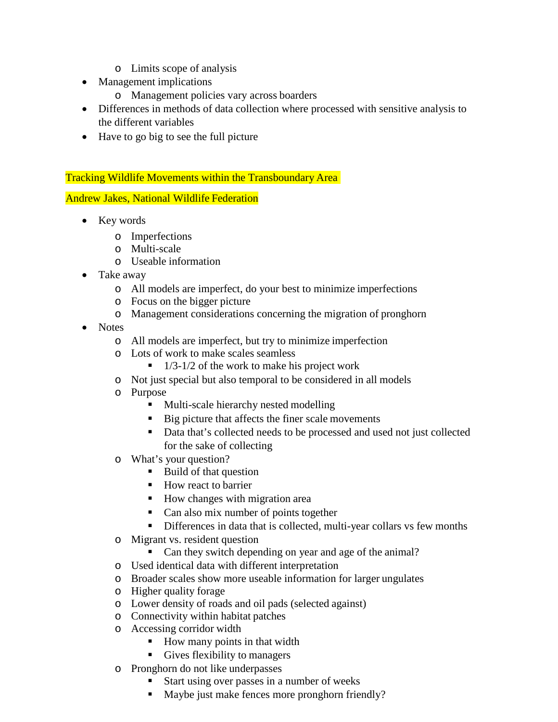- o Limits scope of analysis
- Management implications
	- o Management policies vary across boarders
- Differences in methods of data collection where processed with sensitive analysis to the different variables
- Have to go big to see the full picture

Tracking Wildlife Movements within the Transboundary Area

Andrew Jakes, National Wildlife Federation

- Key words
	- o Imperfections
	- o Multi-scale
	- o Useable information
- Take away
	- o All models are imperfect, do your best to minimize imperfections
	- o Focus on the bigger picture
	- o Management considerations concerning the migration of pronghorn
- Notes
	- o All models are imperfect, but try to minimize imperfection
	- o Lots of work to make scales seamless
		- $\blacksquare$  1/3-1/2 of the work to make his project work
	- o Not just special but also temporal to be considered in all models
	- o Purpose
		- Multi-scale hierarchy nested modelling
		- Big picture that affects the finer scale movements
		- Data that's collected needs to be processed and used not just collected for the sake of collecting
	- o What's your question?
		- Build of that question
		- How react to barrier
		- How changes with migration area
		- Can also mix number of points together
		- Differences in data that is collected, multi-year collars vs few months
	- o Migrant vs. resident question
		- Can they switch depending on year and age of the animal?
	- o Used identical data with different interpretation
	- o Broader scales show more useable information for larger ungulates
	- o Higher quality forage
	- o Lower density of roads and oil pads (selected against)
	- o Connectivity within habitat patches
	- o Accessing corridor width
		- How many points in that width
		- Gives flexibility to managers
	- o Pronghorn do not like underpasses
		- Start using over passes in a number of weeks
		- Maybe just make fences more pronghorn friendly?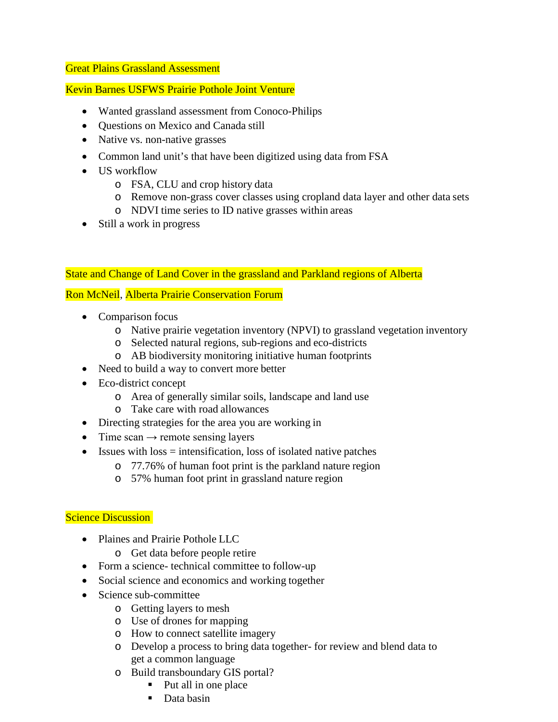#### Great Plains Grassland Assessment

#### Kevin Barnes USFWS Prairie Pothole Joint Venture

- Wanted grassland assessment from Conoco-Philips
- Questions on Mexico and Canada still
- Native vs. non-native grasses
- Common land unit's that have been digitized using data from FSA
- US workflow
	- o FSA, CLU and crop history data
	- o Remove non-grass cover classes using cropland data layer and other data sets
	- o NDVI time series to ID native grasses within areas
- Still a work in progress

#### State and Change of Land Cover in the grassland and Parkland regions of Alberta

#### Ron McNeil, Alberta Prairie Conservation Forum

- Comparison focus
	- o Native prairie vegetation inventory (NPVI) to grassland vegetation inventory
	- o Selected natural regions, sub-regions and eco-districts
	- o AB biodiversity monitoring initiative human footprints
- Need to build a way to convert more better
- Eco-district concept
	- o Area of generally similar soils, landscape and land use
	- o Take care with road allowances
- Directing strategies for the area you are working in
- Time scan  $\rightarrow$  remote sensing layers
- Issues with  $loss =$  intensification, loss of isolated native patches
	- o 77.76% of human foot print is the parkland nature region
	- o 57% human foot print in grassland nature region

#### **Science Discussion**

- Plaines and Prairie Pothole LLC
	- o Get data before people retire
- Form a science- technical committee to follow-up
- Social science and economics and working together
- Science sub-committee
	- o Getting layers to mesh
	- o Use of drones for mapping
	- o How to connect satellite imagery
	- o Develop a process to bring data together- for review and blend data to get a common language
	- o Build transboundary GIS portal?
		- Put all in one place
		- Data basin